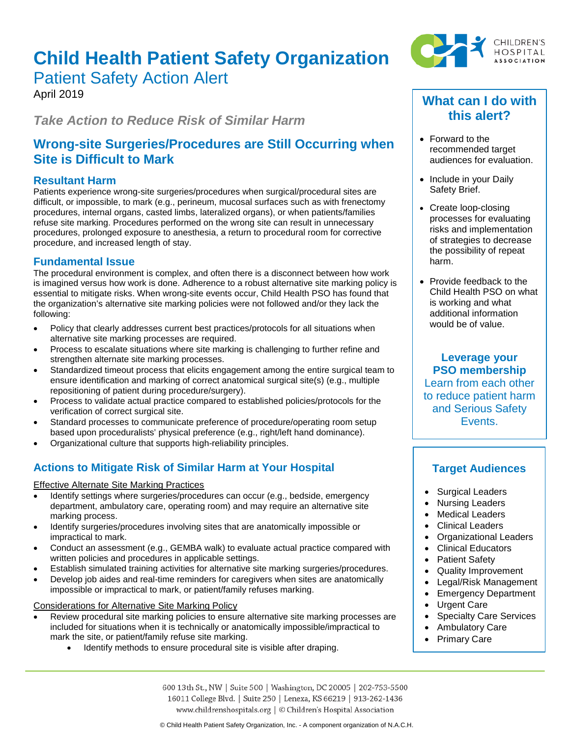# **Child Health Patient Safety Organization** Patient Safety Action Alert

April 2019

*Take Action to Reduce Risk of Similar Harm*

# **Wrong-site Surgeries/Procedures are Still Occurring when Site is Difficult to Mark**

### **Resultant Harm**

Patients experience wrong-site surgeries/procedures when surgical/procedural sites are difficult, or impossible, to mark (e.g., perineum, mucosal surfaces such as with frenectomy procedures, internal organs, casted limbs, lateralized organs), or when patients/families refuse site marking. Procedures performed on the wrong site can result in unnecessary procedures, prolonged exposure to anesthesia, a return to procedural room for corrective procedure, and increased length of stay.

# **Fundamental Issue**

The procedural environment is complex, and often there is a disconnect between how work is imagined versus how work is done. Adherence to a robust alternative site marking policy is essential to mitigate risks. When wrong-site events occur, Child Health PSO has found that the organization's alternative site marking policies were not followed and/or they lack the following:

- Policy that clearly addresses current best practices/protocols for all situations when alternative site marking processes are required.
- Process to escalate situations where site marking is challenging to further refine and strengthen alternate site marking processes.
- Standardized timeout process that elicits engagement among the entire surgical team to ensure identification and marking of correct anatomical surgical site(s) (e.g., multiple repositioning of patient during procedure/surgery).
- Process to validate actual practice compared to established policies/protocols for the verification of correct surgical site.
- Standard processes to communicate preference of procedure/operating room setup based upon proceduralists' physical preference (e.g., right/left hand dominance).
- Organizational culture that supports high-reliability principles.

# **Actions to Mitigate Risk of Similar Harm at Your Hospital**

### Effective Alternate Site Marking Practices

- Identify settings where surgeries/procedures can occur (e.g., bedside, emergency department, ambulatory care, operating room) and may require an alternative site marking process.
- Identify surgeries/procedures involving sites that are anatomically impossible or impractical to mark.
- Conduct an assessment (e.g., GEMBA walk) to evaluate actual practice compared with written policies and procedures in applicable settings.
- Establish simulated training activities for alternative site marking surgeries/procedures.
- Develop job aides and real-time reminders for caregivers when sites are anatomically impossible or impractical to mark, or patient/family refuses marking.

### Considerations for Alternative Site Marking Policy

- Review procedural site marking policies to ensure alternative site marking processes are included for situations when it is technically or anatomically impossible/impractical to mark the site, or patient/family refuse site marking.
	- Identify methods to ensure procedural site is visible after draping.



# **What can I do with this alert?**

- Forward to the recommended target audiences for evaluation.
- Include in your Daily Safety Brief.
- Create loop-closing processes for evaluating risks and implementation of strategies to decrease the possibility of repeat harm.
- Provide feedback to the Child Health PSO on what is working and what additional information would be of value.

**Leverage your PSO membership** Learn from each other to reduce patient harm and Serious Safety Events.

# **Target Audiences**

- Surgical Leaders
- Nursing Leaders
- **Medical Leaders**
- Clinical Leaders
- Organizational Leaders
- Clinical Educators
- Patient Safety
- Quality Improvement
- Legal/Risk Management
- Emergency Department
- Urgent Care
- Specialty Care Services
- Ambulatory Care
- Primary Care

600 13th St., NW | Suite 500 | Washington, DC 20005 | 202-753-5500 16011 College Blvd. | Suite 250 | Lenexa, KS 66219 | 913-262-1436 www.childrenshospitals.org | © Children's Hospital Association